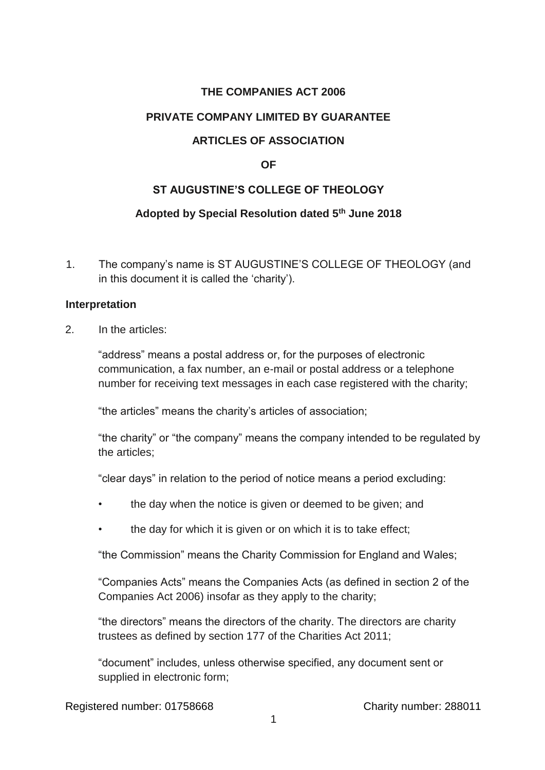# **THE COMPANIES ACT 2006**

#### **PRIVATE COMPANY LIMITED BY GUARANTEE**

# **ARTICLES OF ASSOCIATION**

#### **OF**

## **ST AUGUSTINE'S COLLEGE OF THEOLOGY**

## **Adopted by Special Resolution dated 5th June 2018**

1. The company's name is ST AUGUSTINE'S COLLEGE OF THEOLOGY (and in this document it is called the 'charity').

#### **Interpretation**

2. In the articles:

"address" means a postal address or, for the purposes of electronic communication, a fax number, an e-mail or postal address or a telephone number for receiving text messages in each case registered with the charity;

"the articles" means the charity's articles of association;

"the charity" or "the company" means the company intended to be regulated by the articles;

"clear days" in relation to the period of notice means a period excluding:

- the day when the notice is given or deemed to be given; and
- the day for which it is given or on which it is to take effect;

"the Commission" means the Charity Commission for England and Wales;

"Companies Acts" means the Companies Acts (as defined in section 2 of the Companies Act 2006) insofar as they apply to the charity;

"the directors" means the directors of the charity. The directors are charity trustees as defined by section 177 of the Charities Act 2011;

"document" includes, unless otherwise specified, any document sent or supplied in electronic form;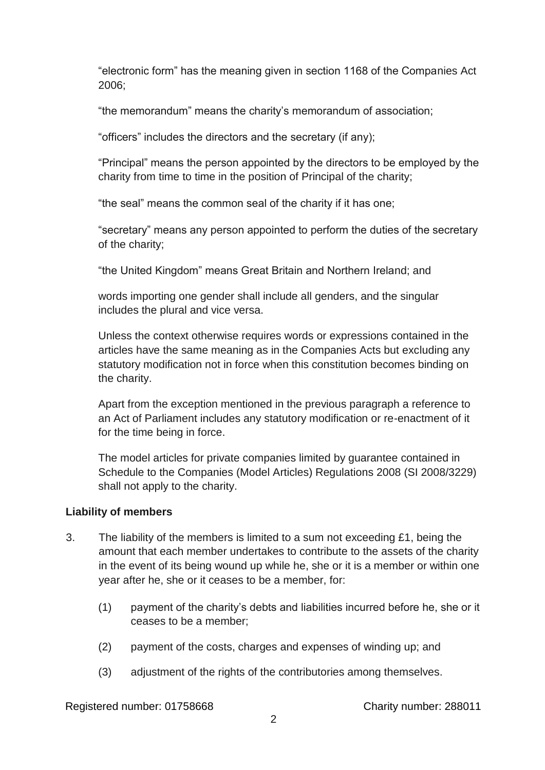"electronic form" has the meaning given in section 1168 of the Companies Act 2006;

"the memorandum" means the charity's memorandum of association;

"officers" includes the directors and the secretary (if any);

"Principal" means the person appointed by the directors to be employed by the charity from time to time in the position of Principal of the charity;

"the seal" means the common seal of the charity if it has one;

"secretary" means any person appointed to perform the duties of the secretary of the charity;

"the United Kingdom" means Great Britain and Northern Ireland; and

words importing one gender shall include all genders, and the singular includes the plural and vice versa.

Unless the context otherwise requires words or expressions contained in the articles have the same meaning as in the Companies Acts but excluding any statutory modification not in force when this constitution becomes binding on the charity.

Apart from the exception mentioned in the previous paragraph a reference to an Act of Parliament includes any statutory modification or re-enactment of it for the time being in force.

The model articles for private companies limited by guarantee contained in Schedule to the Companies (Model Articles) Regulations 2008 (SI 2008/3229) shall not apply to the charity.

## **Liability of members**

- 3. The liability of the members is limited to a sum not exceeding £1, being the amount that each member undertakes to contribute to the assets of the charity in the event of its being wound up while he, she or it is a member or within one year after he, she or it ceases to be a member, for:
	- (1) payment of the charity's debts and liabilities incurred before he, she or it ceases to be a member;
	- (2) payment of the costs, charges and expenses of winding up; and
	- (3) adjustment of the rights of the contributories among themselves.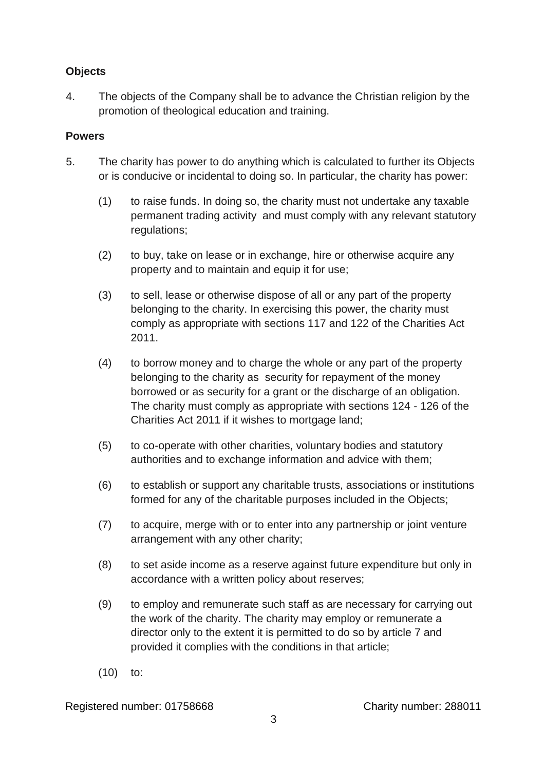# **Objects**

4. The objects of the Company shall be to advance the Christian religion by the promotion of theological education and training.

#### **Powers**

- 5. The charity has power to do anything which is calculated to further its Objects or is conducive or incidental to doing so. In particular, the charity has power:
	- (1) to raise funds. In doing so, the charity must not undertake any taxable permanent trading activity and must comply with any relevant statutory regulations;
	- (2) to buy, take on lease or in exchange, hire or otherwise acquire any property and to maintain and equip it for use;
	- (3) to sell, lease or otherwise dispose of all or any part of the property belonging to the charity. In exercising this power, the charity must comply as appropriate with sections 117 and 122 of the Charities Act 2011.
	- (4) to borrow money and to charge the whole or any part of the property belonging to the charity as security for repayment of the money borrowed or as security for a grant or the discharge of an obligation. The charity must comply as appropriate with sections 124 - 126 of the Charities Act 2011 if it wishes to mortgage land;
	- (5) to co-operate with other charities, voluntary bodies and statutory authorities and to exchange information and advice with them;
	- (6) to establish or support any charitable trusts, associations or institutions formed for any of the charitable purposes included in the Objects;
	- (7) to acquire, merge with or to enter into any partnership or joint venture arrangement with any other charity;
	- (8) to set aside income as a reserve against future expenditure but only in accordance with a written policy about reserves;
	- (9) to employ and remunerate such staff as are necessary for carrying out the work of the charity. The charity may employ or remunerate a director only to the extent it is permitted to do so by article 7 and provided it complies with the conditions in that article;
	- (10) to: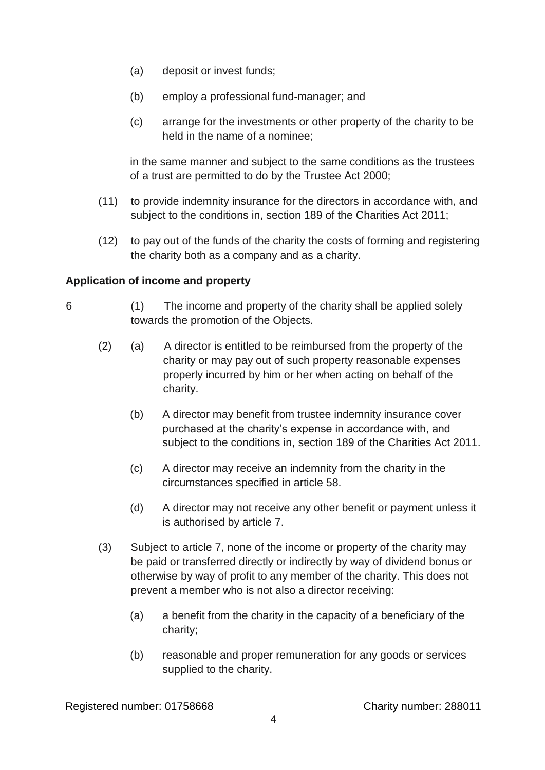- (a) deposit or invest funds;
- (b) employ a professional fund-manager; and
- (c) arrange for the investments or other property of the charity to be held in the name of a nominee;

in the same manner and subject to the same conditions as the trustees of a trust are permitted to do by the Trustee Act 2000;

- (11) to provide indemnity insurance for the directors in accordance with, and subject to the conditions in, section 189 of the Charities Act 2011;
- (12) to pay out of the funds of the charity the costs of forming and registering the charity both as a company and as a charity.

# **Application of income and property**

- 6 (1) The income and property of the charity shall be applied solely towards the promotion of the Objects.
	- (2) (a) A director is entitled to be reimbursed from the property of the charity or may pay out of such property reasonable expenses properly incurred by him or her when acting on behalf of the charity.
		- (b) A director may benefit from trustee indemnity insurance cover purchased at the charity's expense in accordance with, and subject to the conditions in, section 189 of the Charities Act 2011.
		- (c) A director may receive an indemnity from the charity in the circumstances specified in article 58.
		- (d) A director may not receive any other benefit or payment unless it is authorised by article 7.
	- (3) Subject to article 7, none of the income or property of the charity may be paid or transferred directly or indirectly by way of dividend bonus or otherwise by way of profit to any member of the charity. This does not prevent a member who is not also a director receiving:
		- (a) a benefit from the charity in the capacity of a beneficiary of the charity;
		- (b) reasonable and proper remuneration for any goods or services supplied to the charity.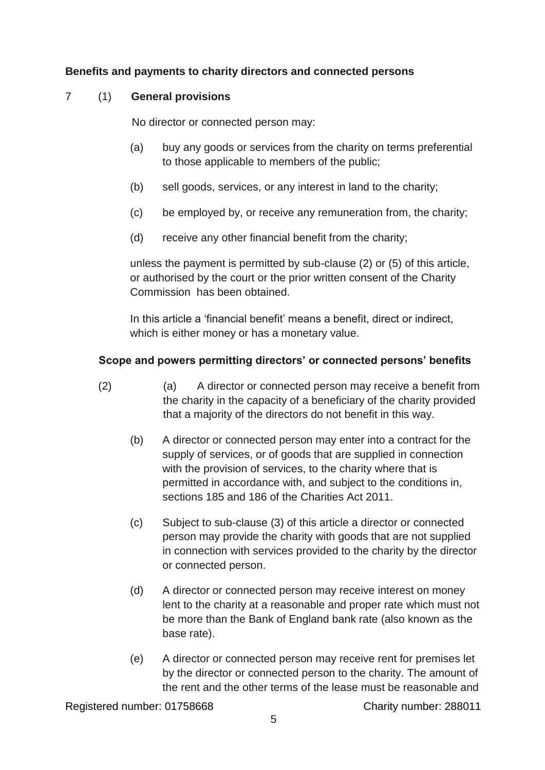## **Benefits and payments to charity directors and connected persons**

# 7 (1) **General provisions**

No director or connected person may:

- (a) buy any goods or services from the charity on terms preferential to those applicable to members of the public;
- (b) sell goods, services, or any interest in land to the charity;
- (c) be employed by, or receive any remuneration from, the charity;
- (d) receive any other financial benefit from the charity;

unless the payment is permitted by sub-clause (2) or (5) of this article, or authorised by the court or the prior written consent of the Charity Commission has been obtained.

In this article a 'financial benefit' means a benefit, direct or indirect, which is either money or has a monetary value.

## **Scope and powers permitting directors' or connected persons' benefits**

- (2) (a) A director or connected person may receive a benefit from the charity in the capacity of a beneficiary of the charity provided that a majority of the directors do not benefit in this way.
	- (b) A director or connected person may enter into a contract for the supply of services, or of goods that are supplied in connection with the provision of services, to the charity where that is permitted in accordance with, and subject to the conditions in, sections 185 and 186 of the Charities Act 2011.
	- (c) Subject to sub-clause (3) of this article a director or connected person may provide the charity with goods that are not supplied in connection with services provided to the charity by the director or connected person.
	- (d) A director or connected person may receive interest on money lent to the charity at a reasonable and proper rate which must not be more than the Bank of England bank rate (also known as the base rate).
	- (e) A director or connected person may receive rent for premises let by the director or connected person to the charity. The amount of the rent and the other terms of the lease must be reasonable and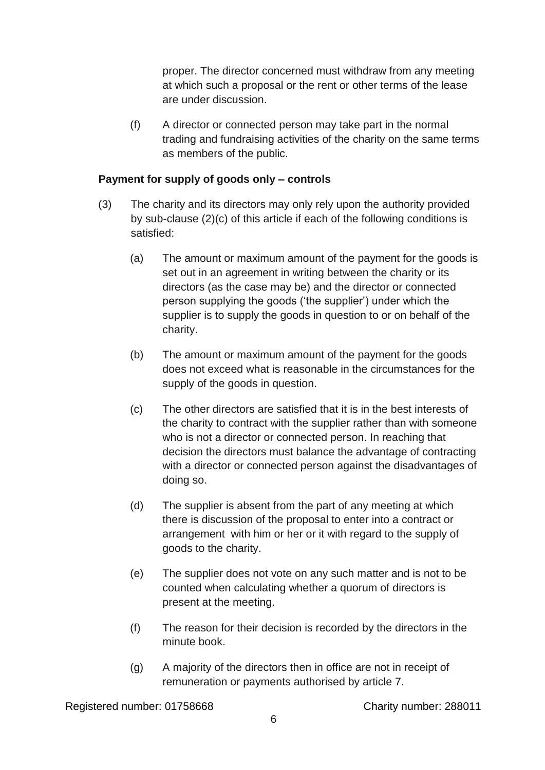proper. The director concerned must withdraw from any meeting at which such a proposal or the rent or other terms of the lease are under discussion.

(f) A director or connected person may take part in the normal trading and fundraising activities of the charity on the same terms as members of the public.

#### **Payment for supply of goods only – controls**

- (3) The charity and its directors may only rely upon the authority provided by sub-clause (2)(c) of this article if each of the following conditions is satisfied:
	- (a) The amount or maximum amount of the payment for the goods is set out in an agreement in writing between the charity or its directors (as the case may be) and the director or connected person supplying the goods ('the supplier') under which the supplier is to supply the goods in question to or on behalf of the charity.
	- (b) The amount or maximum amount of the payment for the goods does not exceed what is reasonable in the circumstances for the supply of the goods in question.
	- (c) The other directors are satisfied that it is in the best interests of the charity to contract with the supplier rather than with someone who is not a director or connected person. In reaching that decision the directors must balance the advantage of contracting with a director or connected person against the disadvantages of doing so.
	- (d) The supplier is absent from the part of any meeting at which there is discussion of the proposal to enter into a contract or arrangement with him or her or it with regard to the supply of goods to the charity.
	- (e) The supplier does not vote on any such matter and is not to be counted when calculating whether a quorum of directors is present at the meeting.
	- (f) The reason for their decision is recorded by the directors in the minute book.
	- (g) A majority of the directors then in office are not in receipt of remuneration or payments authorised by article 7.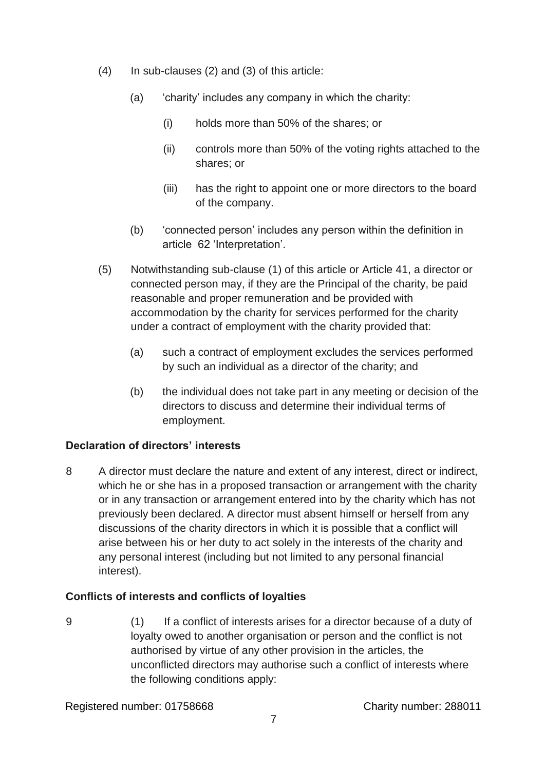- (4) In sub-clauses (2) and (3) of this article:
	- (a) 'charity' includes any company in which the charity:
		- (i) holds more than 50% of the shares; or
		- (ii) controls more than 50% of the voting rights attached to the shares; or
		- (iii) has the right to appoint one or more directors to the board of the company.
	- (b) 'connected person' includes any person within the definition in article 62 'Interpretation'.
- (5) Notwithstanding sub-clause (1) of this article or Article 41, a director or connected person may, if they are the Principal of the charity, be paid reasonable and proper remuneration and be provided with accommodation by the charity for services performed for the charity under a contract of employment with the charity provided that:
	- (a) such a contract of employment excludes the services performed by such an individual as a director of the charity; and
	- (b) the individual does not take part in any meeting or decision of the directors to discuss and determine their individual terms of employment.

# **Declaration of directors' interests**

8 A director must declare the nature and extent of any interest, direct or indirect, which he or she has in a proposed transaction or arrangement with the charity or in any transaction or arrangement entered into by the charity which has not previously been declared. A director must absent himself or herself from any discussions of the charity directors in which it is possible that a conflict will arise between his or her duty to act solely in the interests of the charity and any personal interest (including but not limited to any personal financial interest).

# **Conflicts of interests and conflicts of loyalties**

9 (1) If a conflict of interests arises for a director because of a duty of loyalty owed to another organisation or person and the conflict is not authorised by virtue of any other provision in the articles, the unconflicted directors may authorise such a conflict of interests where the following conditions apply: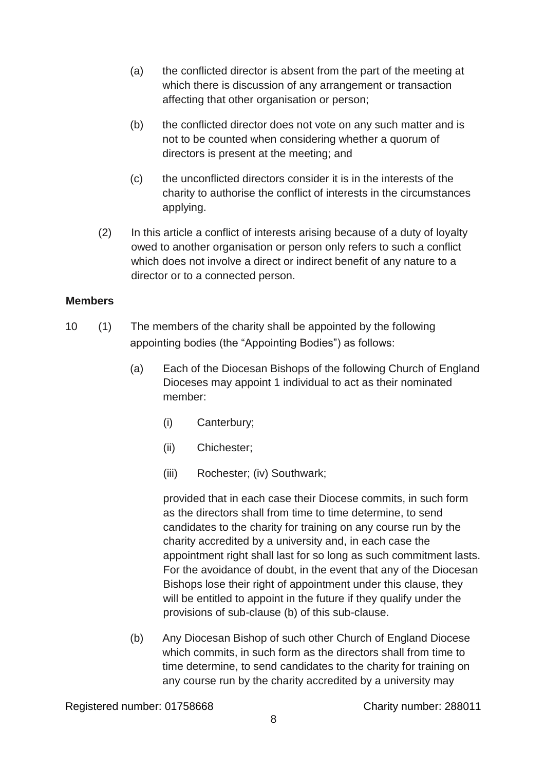- (a) the conflicted director is absent from the part of the meeting at which there is discussion of any arrangement or transaction affecting that other organisation or person;
- (b) the conflicted director does not vote on any such matter and is not to be counted when considering whether a quorum of directors is present at the meeting; and
- (c) the unconflicted directors consider it is in the interests of the charity to authorise the conflict of interests in the circumstances applying.
- (2) In this article a conflict of interests arising because of a duty of loyalty owed to another organisation or person only refers to such a conflict which does not involve a direct or indirect benefit of any nature to a director or to a connected person.

#### **Members**

- 10 (1) The members of the charity shall be appointed by the following appointing bodies (the "Appointing Bodies") as follows:
	- (a) Each of the Diocesan Bishops of the following Church of England Dioceses may appoint 1 individual to act as their nominated member:
		- (i) Canterbury;
		- (ii) Chichester;
		- (iii) Rochester; (iv) Southwark;

provided that in each case their Diocese commits, in such form as the directors shall from time to time determine, to send candidates to the charity for training on any course run by the charity accredited by a university and, in each case the appointment right shall last for so long as such commitment lasts. For the avoidance of doubt, in the event that any of the Diocesan Bishops lose their right of appointment under this clause, they will be entitled to appoint in the future if they qualify under the provisions of sub-clause (b) of this sub-clause.

(b) Any Diocesan Bishop of such other Church of England Diocese which commits, in such form as the directors shall from time to time determine, to send candidates to the charity for training on any course run by the charity accredited by a university may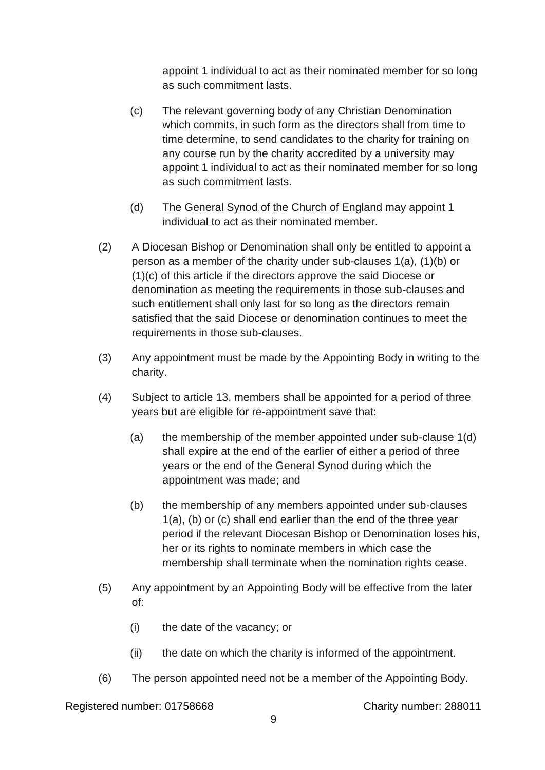appoint 1 individual to act as their nominated member for so long as such commitment lasts.

- (c) The relevant governing body of any Christian Denomination which commits, in such form as the directors shall from time to time determine, to send candidates to the charity for training on any course run by the charity accredited by a university may appoint 1 individual to act as their nominated member for so long as such commitment lasts.
- (d) The General Synod of the Church of England may appoint 1 individual to act as their nominated member.
- (2) A Diocesan Bishop or Denomination shall only be entitled to appoint a person as a member of the charity under sub-clauses 1(a), (1)(b) or (1)(c) of this article if the directors approve the said Diocese or denomination as meeting the requirements in those sub-clauses and such entitlement shall only last for so long as the directors remain satisfied that the said Diocese or denomination continues to meet the requirements in those sub-clauses.
- (3) Any appointment must be made by the Appointing Body in writing to the charity.
- (4) Subject to article 13, members shall be appointed for a period of three years but are eligible for re-appointment save that:
	- (a) the membership of the member appointed under sub-clause 1(d) shall expire at the end of the earlier of either a period of three years or the end of the General Synod during which the appointment was made; and
	- (b) the membership of any members appointed under sub-clauses 1(a), (b) or (c) shall end earlier than the end of the three year period if the relevant Diocesan Bishop or Denomination loses his, her or its rights to nominate members in which case the membership shall terminate when the nomination rights cease.
- (5) Any appointment by an Appointing Body will be effective from the later of:
	- (i) the date of the vacancy; or
	- (ii) the date on which the charity is informed of the appointment.
- (6) The person appointed need not be a member of the Appointing Body.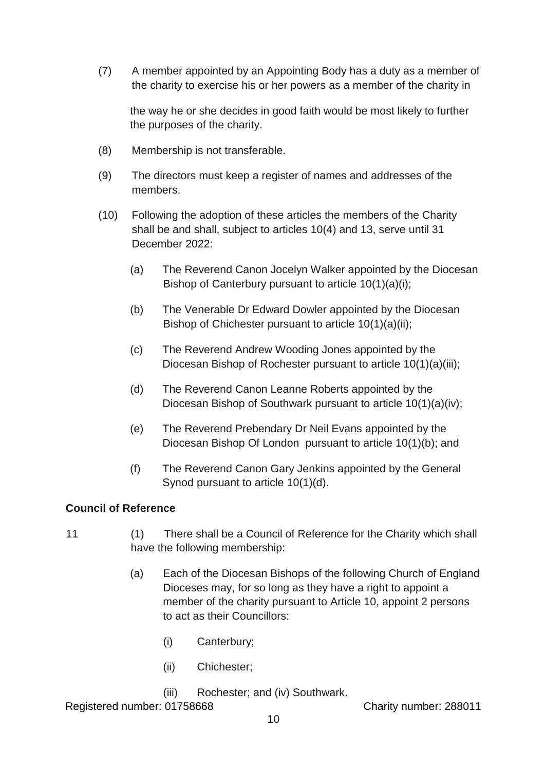(7) A member appointed by an Appointing Body has a duty as a member of the charity to exercise his or her powers as a member of the charity in

the way he or she decides in good faith would be most likely to further the purposes of the charity.

- (8) Membership is not transferable.
- (9) The directors must keep a register of names and addresses of the members.
- (10) Following the adoption of these articles the members of the Charity shall be and shall, subject to articles 10(4) and 13, serve until 31 December 2022:
	- (a) The Reverend Canon Jocelyn Walker appointed by the Diocesan Bishop of Canterbury pursuant to article 10(1)(a)(i);
	- (b) The Venerable Dr Edward Dowler appointed by the Diocesan Bishop of Chichester pursuant to article 10(1)(a)(ii);
	- (c) The Reverend Andrew Wooding Jones appointed by the Diocesan Bishop of Rochester pursuant to article 10(1)(a)(iii);
	- (d) The Reverend Canon Leanne Roberts appointed by the Diocesan Bishop of Southwark pursuant to article 10(1)(a)(iv);
	- (e) The Reverend Prebendary Dr Neil Evans appointed by the Diocesan Bishop Of London pursuant to article 10(1)(b); and
	- (f) The Reverend Canon Gary Jenkins appointed by the General Synod pursuant to article 10(1)(d).

# **Council of Reference**

- 11 (1) There shall be a Council of Reference for the Charity which shall have the following membership:
	- (a) Each of the Diocesan Bishops of the following Church of England Dioceses may, for so long as they have a right to appoint a member of the charity pursuant to Article 10, appoint 2 persons to act as their Councillors:
		- (i) Canterbury;
		- (ii) Chichester;
		- (iii) Rochester; and (iv) Southwark.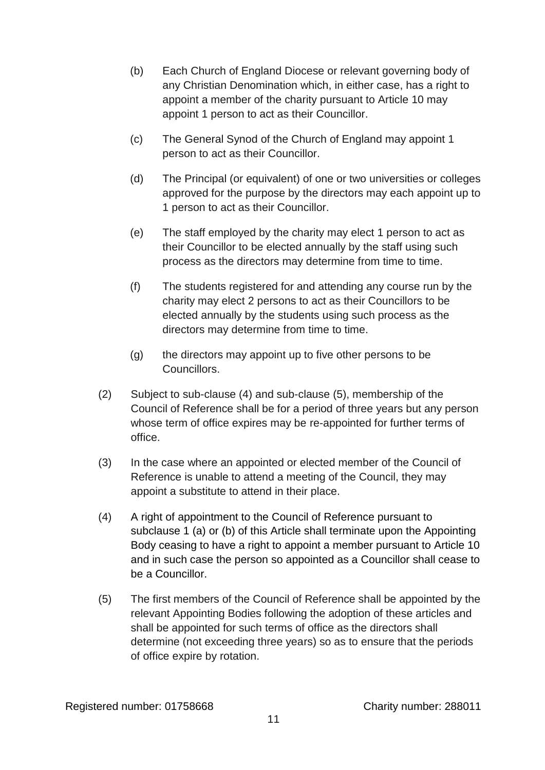- (b) Each Church of England Diocese or relevant governing body of any Christian Denomination which, in either case, has a right to appoint a member of the charity pursuant to Article 10 may appoint 1 person to act as their Councillor.
- (c) The General Synod of the Church of England may appoint 1 person to act as their Councillor.
- (d) The Principal (or equivalent) of one or two universities or colleges approved for the purpose by the directors may each appoint up to 1 person to act as their Councillor.
- (e) The staff employed by the charity may elect 1 person to act as their Councillor to be elected annually by the staff using such process as the directors may determine from time to time.
- (f) The students registered for and attending any course run by the charity may elect 2 persons to act as their Councillors to be elected annually by the students using such process as the directors may determine from time to time.
- (g) the directors may appoint up to five other persons to be Councillors.
- (2) Subject to sub-clause (4) and sub-clause (5), membership of the Council of Reference shall be for a period of three years but any person whose term of office expires may be re-appointed for further terms of office.
- (3) In the case where an appointed or elected member of the Council of Reference is unable to attend a meeting of the Council, they may appoint a substitute to attend in their place.
- (4) A right of appointment to the Council of Reference pursuant to subclause 1 (a) or (b) of this Article shall terminate upon the Appointing Body ceasing to have a right to appoint a member pursuant to Article 10 and in such case the person so appointed as a Councillor shall cease to be a Councillor.
- (5) The first members of the Council of Reference shall be appointed by the relevant Appointing Bodies following the adoption of these articles and shall be appointed for such terms of office as the directors shall determine (not exceeding three years) so as to ensure that the periods of office expire by rotation.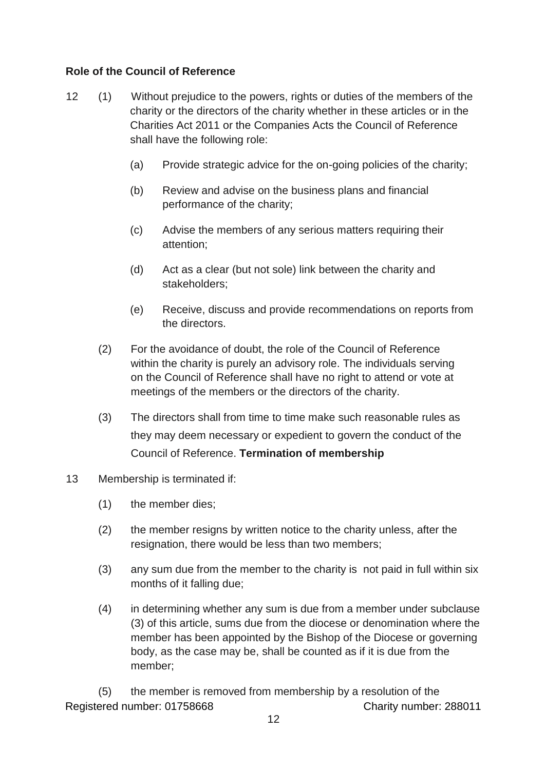## **Role of the Council of Reference**

- 12 (1) Without prejudice to the powers, rights or duties of the members of the charity or the directors of the charity whether in these articles or in the Charities Act 2011 or the Companies Acts the Council of Reference shall have the following role:
	- (a) Provide strategic advice for the on-going policies of the charity;
	- (b) Review and advise on the business plans and financial performance of the charity;
	- (c) Advise the members of any serious matters requiring their attention;
	- (d) Act as a clear (but not sole) link between the charity and stakeholders;
	- (e) Receive, discuss and provide recommendations on reports from the directors.
	- (2) For the avoidance of doubt, the role of the Council of Reference within the charity is purely an advisory role. The individuals serving on the Council of Reference shall have no right to attend or vote at meetings of the members or the directors of the charity.
	- (3) The directors shall from time to time make such reasonable rules as they may deem necessary or expedient to govern the conduct of the Council of Reference. **Termination of membership**

## 13 Membership is terminated if:

- (1) the member dies;
- (2) the member resigns by written notice to the charity unless, after the resignation, there would be less than two members;
- (3) any sum due from the member to the charity is not paid in full within six months of it falling due;
- (4) in determining whether any sum is due from a member under subclause (3) of this article, sums due from the diocese or denomination where the member has been appointed by the Bishop of the Diocese or governing body, as the case may be, shall be counted as if it is due from the member;

Registered number: 01758668 Charity number: 288011 (5) the member is removed from membership by a resolution of the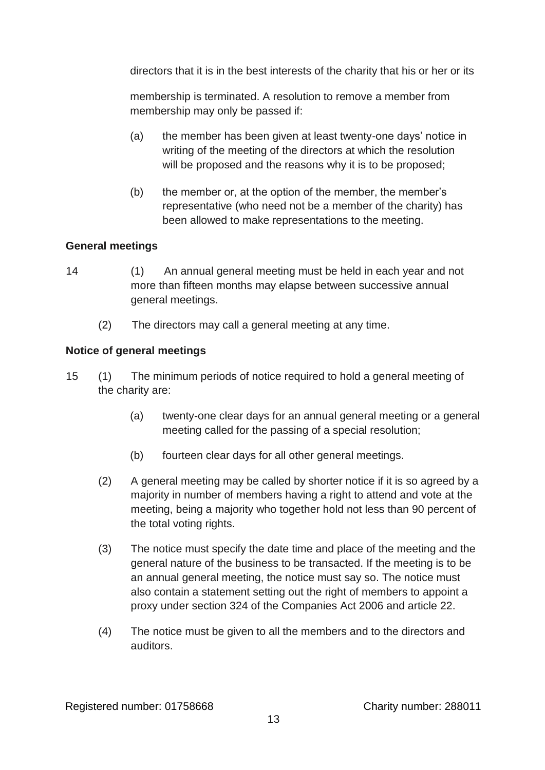directors that it is in the best interests of the charity that his or her or its

membership is terminated. A resolution to remove a member from membership may only be passed if:

- (a) the member has been given at least twenty-one days' notice in writing of the meeting of the directors at which the resolution will be proposed and the reasons why it is to be proposed;
- (b) the member or, at the option of the member, the member's representative (who need not be a member of the charity) has been allowed to make representations to the meeting.

# **General meetings**

- 14 (1) An annual general meeting must be held in each year and not more than fifteen months may elapse between successive annual general meetings.
	- (2) The directors may call a general meeting at any time.

# **Notice of general meetings**

- 15 (1) The minimum periods of notice required to hold a general meeting of the charity are:
	- (a) twenty-one clear days for an annual general meeting or a general meeting called for the passing of a special resolution;
	- (b) fourteen clear days for all other general meetings.
	- (2) A general meeting may be called by shorter notice if it is so agreed by a majority in number of members having a right to attend and vote at the meeting, being a majority who together hold not less than 90 percent of the total voting rights.
	- (3) The notice must specify the date time and place of the meeting and the general nature of the business to be transacted. If the meeting is to be an annual general meeting, the notice must say so. The notice must also contain a statement setting out the right of members to appoint a proxy under section 324 of the Companies Act 2006 and article 22.
	- (4) The notice must be given to all the members and to the directors and auditors.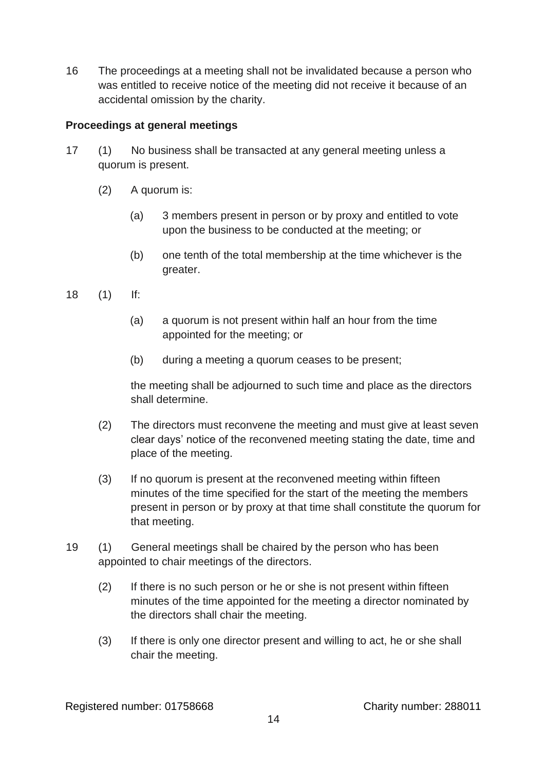16 The proceedings at a meeting shall not be invalidated because a person who was entitled to receive notice of the meeting did not receive it because of an accidental omission by the charity.

## **Proceedings at general meetings**

- 17 (1) No business shall be transacted at any general meeting unless a quorum is present.
	- (2) A quorum is:
		- (a) 3 members present in person or by proxy and entitled to vote upon the business to be conducted at the meeting; or
		- (b) one tenth of the total membership at the time whichever is the greater.
- 18 (1) If:
	- (a) a quorum is not present within half an hour from the time appointed for the meeting; or
	- (b) during a meeting a quorum ceases to be present;

 the meeting shall be adjourned to such time and place as the directors shall determine.

- (2) The directors must reconvene the meeting and must give at least seven clear days' notice of the reconvened meeting stating the date, time and place of the meeting.
- (3) If no quorum is present at the reconvened meeting within fifteen minutes of the time specified for the start of the meeting the members present in person or by proxy at that time shall constitute the quorum for that meeting.
- 19 (1) General meetings shall be chaired by the person who has been appointed to chair meetings of the directors.
	- (2) If there is no such person or he or she is not present within fifteen minutes of the time appointed for the meeting a director nominated by the directors shall chair the meeting.
	- (3) If there is only one director present and willing to act, he or she shall chair the meeting.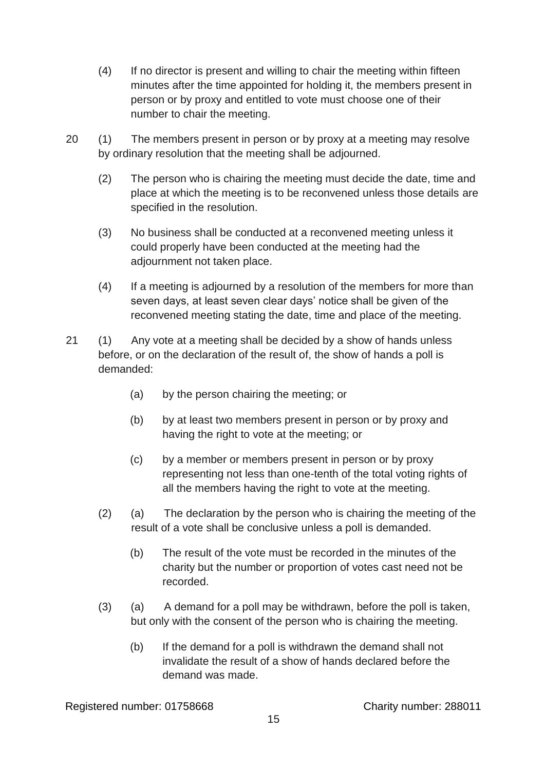- (4) If no director is present and willing to chair the meeting within fifteen minutes after the time appointed for holding it, the members present in person or by proxy and entitled to vote must choose one of their number to chair the meeting.
- 20 (1) The members present in person or by proxy at a meeting may resolve by ordinary resolution that the meeting shall be adjourned.
	- (2) The person who is chairing the meeting must decide the date, time and place at which the meeting is to be reconvened unless those details are specified in the resolution.
	- (3) No business shall be conducted at a reconvened meeting unless it could properly have been conducted at the meeting had the adjournment not taken place.
	- (4) If a meeting is adjourned by a resolution of the members for more than seven days, at least seven clear days' notice shall be given of the reconvened meeting stating the date, time and place of the meeting.
- 21 (1) Any vote at a meeting shall be decided by a show of hands unless before, or on the declaration of the result of, the show of hands a poll is demanded:
	- (a) by the person chairing the meeting; or
	- (b) by at least two members present in person or by proxy and having the right to vote at the meeting; or
	- (c) by a member or members present in person or by proxy representing not less than one-tenth of the total voting rights of all the members having the right to vote at the meeting.
	- (2) (a) The declaration by the person who is chairing the meeting of the result of a vote shall be conclusive unless a poll is demanded.
		- (b) The result of the vote must be recorded in the minutes of the charity but the number or proportion of votes cast need not be recorded.
	- (3) (a) A demand for a poll may be withdrawn, before the poll is taken, but only with the consent of the person who is chairing the meeting.
		- (b) If the demand for a poll is withdrawn the demand shall not invalidate the result of a show of hands declared before the demand was made.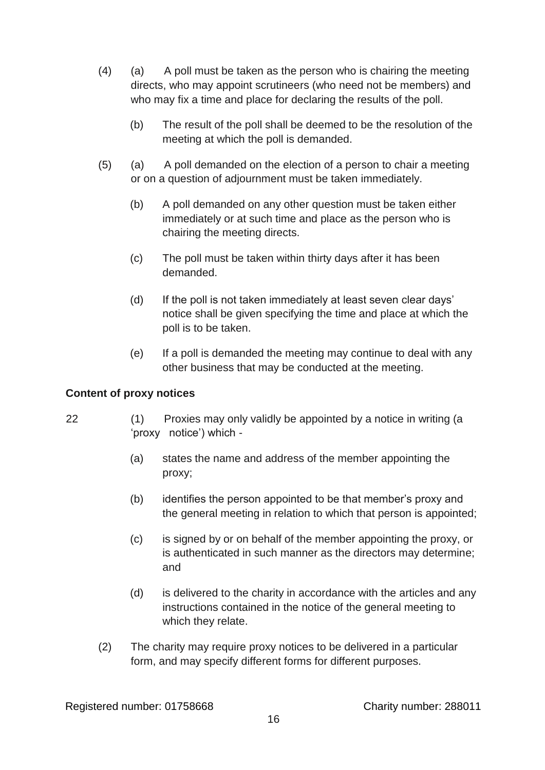- (4) (a) A poll must be taken as the person who is chairing the meeting directs, who may appoint scrutineers (who need not be members) and who may fix a time and place for declaring the results of the poll.
	- (b) The result of the poll shall be deemed to be the resolution of the meeting at which the poll is demanded.
- (5) (a) A poll demanded on the election of a person to chair a meeting or on a question of adjournment must be taken immediately.
	- (b) A poll demanded on any other question must be taken either immediately or at such time and place as the person who is chairing the meeting directs.
	- (c) The poll must be taken within thirty days after it has been demanded.
	- (d) If the poll is not taken immediately at least seven clear days' notice shall be given specifying the time and place at which the poll is to be taken.
	- (e) If a poll is demanded the meeting may continue to deal with any other business that may be conducted at the meeting.

## **Content of proxy notices**

- 22 (1) Proxies may only validly be appointed by a notice in writing (a 'proxy notice') which -
	- (a) states the name and address of the member appointing the proxy;
	- (b) identifies the person appointed to be that member's proxy and the general meeting in relation to which that person is appointed;
	- (c) is signed by or on behalf of the member appointing the proxy, or is authenticated in such manner as the directors may determine; and
	- (d) is delivered to the charity in accordance with the articles and any instructions contained in the notice of the general meeting to which they relate.
	- (2) The charity may require proxy notices to be delivered in a particular form, and may specify different forms for different purposes.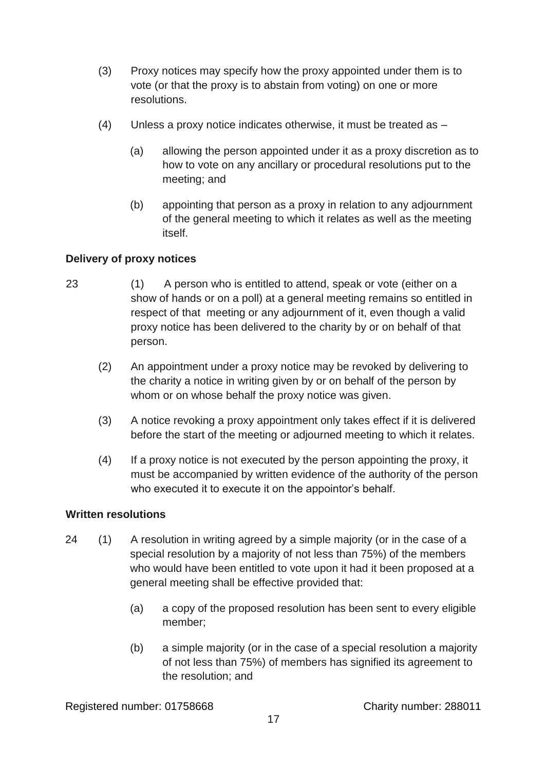- (3) Proxy notices may specify how the proxy appointed under them is to vote (or that the proxy is to abstain from voting) on one or more resolutions.
- (4) Unless a proxy notice indicates otherwise, it must be treated as
	- (a) allowing the person appointed under it as a proxy discretion as to how to vote on any ancillary or procedural resolutions put to the meeting; and
	- (b) appointing that person as a proxy in relation to any adjournment of the general meeting to which it relates as well as the meeting itself.

# **Delivery of proxy notices**

- 23 (1) A person who is entitled to attend, speak or vote (either on a show of hands or on a poll) at a general meeting remains so entitled in respect of that meeting or any adjournment of it, even though a valid proxy notice has been delivered to the charity by or on behalf of that person.
	- (2) An appointment under a proxy notice may be revoked by delivering to the charity a notice in writing given by or on behalf of the person by whom or on whose behalf the proxy notice was given.
	- (3) A notice revoking a proxy appointment only takes effect if it is delivered before the start of the meeting or adjourned meeting to which it relates.
	- (4) If a proxy notice is not executed by the person appointing the proxy, it must be accompanied by written evidence of the authority of the person who executed it to execute it on the appointor's behalf.

# **Written resolutions**

- 24 (1) A resolution in writing agreed by a simple majority (or in the case of a special resolution by a majority of not less than 75%) of the members who would have been entitled to vote upon it had it been proposed at a general meeting shall be effective provided that:
	- (a) a copy of the proposed resolution has been sent to every eligible member;
	- (b) a simple majority (or in the case of a special resolution a majority of not less than 75%) of members has signified its agreement to the resolution; and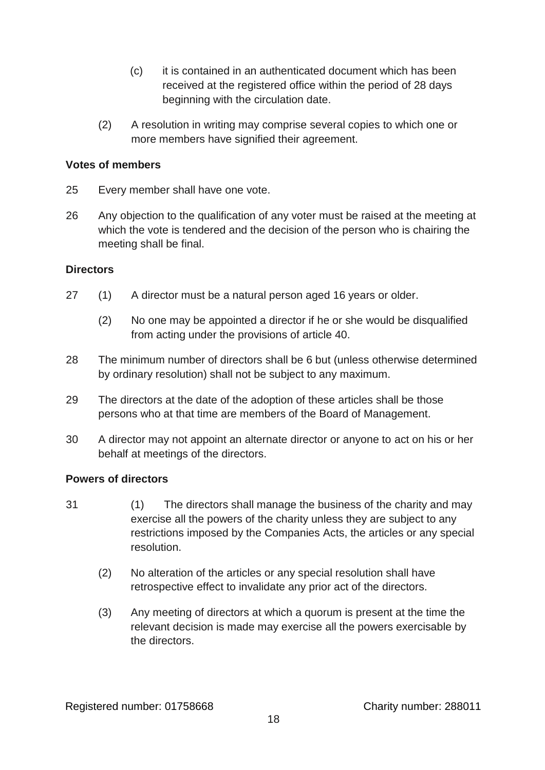- (c) it is contained in an authenticated document which has been received at the registered office within the period of 28 days beginning with the circulation date.
- (2) A resolution in writing may comprise several copies to which one or more members have signified their agreement.

#### **Votes of members**

- 25 Every member shall have one vote.
- 26 Any objection to the qualification of any voter must be raised at the meeting at which the vote is tendered and the decision of the person who is chairing the meeting shall be final.

#### **Directors**

- 27 (1) A director must be a natural person aged 16 years or older.
	- (2) No one may be appointed a director if he or she would be disqualified from acting under the provisions of article 40.
- 28 The minimum number of directors shall be 6 but (unless otherwise determined by ordinary resolution) shall not be subject to any maximum.
- 29 The directors at the date of the adoption of these articles shall be those persons who at that time are members of the Board of Management.
- 30 A director may not appoint an alternate director or anyone to act on his or her behalf at meetings of the directors.

## **Powers of directors**

- 31 (1) The directors shall manage the business of the charity and may exercise all the powers of the charity unless they are subject to any restrictions imposed by the Companies Acts, the articles or any special resolution.
	- (2) No alteration of the articles or any special resolution shall have retrospective effect to invalidate any prior act of the directors.
	- (3) Any meeting of directors at which a quorum is present at the time the relevant decision is made may exercise all the powers exercisable by the directors.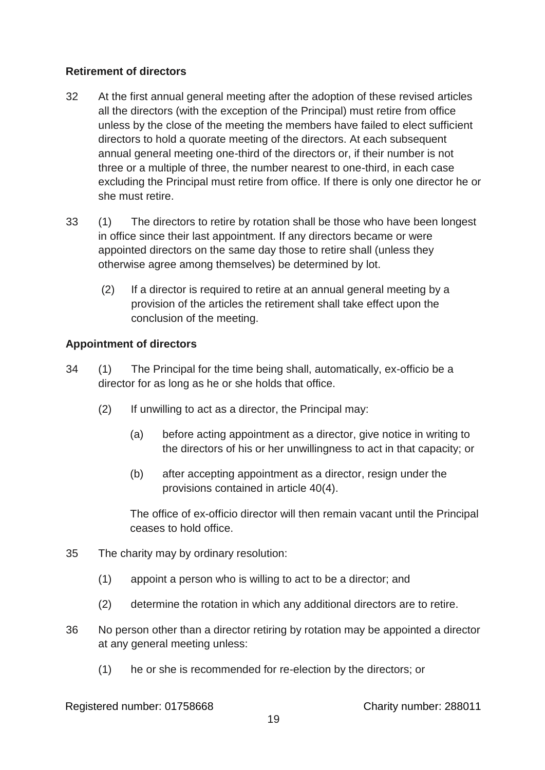## **Retirement of directors**

- 32 At the first annual general meeting after the adoption of these revised articles all the directors (with the exception of the Principal) must retire from office unless by the close of the meeting the members have failed to elect sufficient directors to hold a quorate meeting of the directors. At each subsequent annual general meeting one-third of the directors or, if their number is not three or a multiple of three, the number nearest to one-third, in each case excluding the Principal must retire from office. If there is only one director he or she must retire.
- 33 (1) The directors to retire by rotation shall be those who have been longest in office since their last appointment. If any directors became or were appointed directors on the same day those to retire shall (unless they otherwise agree among themselves) be determined by lot.
	- (2) If a director is required to retire at an annual general meeting by a provision of the articles the retirement shall take effect upon the conclusion of the meeting.

## **Appointment of directors**

- 34 (1) The Principal for the time being shall, automatically, ex-officio be a director for as long as he or she holds that office.
	- (2) If unwilling to act as a director, the Principal may:
		- (a) before acting appointment as a director, give notice in writing to the directors of his or her unwillingness to act in that capacity; or
		- (b) after accepting appointment as a director, resign under the provisions contained in article 40(4).

The office of ex-officio director will then remain vacant until the Principal ceases to hold office.

- 35 The charity may by ordinary resolution:
	- (1) appoint a person who is willing to act to be a director; and
	- (2) determine the rotation in which any additional directors are to retire.
- 36 No person other than a director retiring by rotation may be appointed a director at any general meeting unless:
	- (1) he or she is recommended for re-election by the directors; or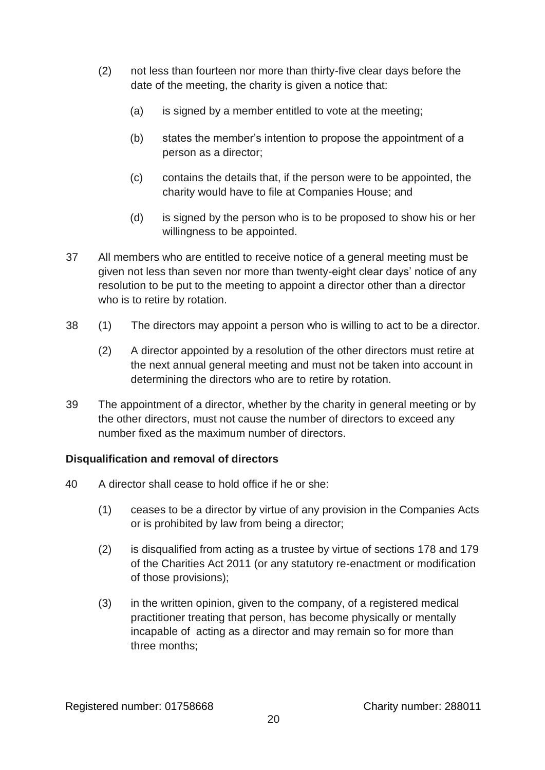- (2) not less than fourteen nor more than thirty-five clear days before the date of the meeting, the charity is given a notice that:
	- (a) is signed by a member entitled to vote at the meeting;
	- (b) states the member's intention to propose the appointment of a person as a director;
	- (c) contains the details that, if the person were to be appointed, the charity would have to file at Companies House; and
	- (d) is signed by the person who is to be proposed to show his or her willingness to be appointed.
- 37 All members who are entitled to receive notice of a general meeting must be given not less than seven nor more than twenty-eight clear days' notice of any resolution to be put to the meeting to appoint a director other than a director who is to retire by rotation.
- 38 (1) The directors may appoint a person who is willing to act to be a director.
	- (2) A director appointed by a resolution of the other directors must retire at the next annual general meeting and must not be taken into account in determining the directors who are to retire by rotation.
- 39 The appointment of a director, whether by the charity in general meeting or by the other directors, must not cause the number of directors to exceed any number fixed as the maximum number of directors.

# **Disqualification and removal of directors**

- 40 A director shall cease to hold office if he or she:
	- (1) ceases to be a director by virtue of any provision in the Companies Acts or is prohibited by law from being a director;
	- (2) is disqualified from acting as a trustee by virtue of sections 178 and 179 of the Charities Act 2011 (or any statutory re-enactment or modification of those provisions);
	- (3) in the written opinion, given to the company, of a registered medical practitioner treating that person, has become physically or mentally incapable of acting as a director and may remain so for more than three months;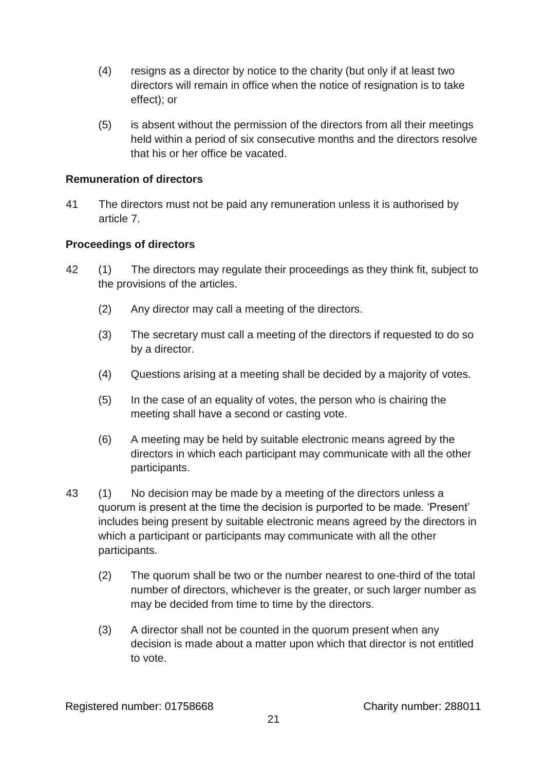- (4) resigns as a director by notice to the charity (but only if at least two directors will remain in office when the notice of resignation is to take effect); or
- (5) is absent without the permission of the directors from all their meetings held within a period of six consecutive months and the directors resolve that his or her office be vacated.

## **Remuneration of directors**

41 The directors must not be paid any remuneration unless it is authorised by article 7.

## **Proceedings of directors**

- 42 (1) The directors may regulate their proceedings as they think fit, subject to the provisions of the articles.
	- (2) Any director may call a meeting of the directors.
	- (3) The secretary must call a meeting of the directors if requested to do so by a director.
	- (4) Questions arising at a meeting shall be decided by a majority of votes.
	- (5) In the case of an equality of votes, the person who is chairing the meeting shall have a second or casting vote.
	- (6) A meeting may be held by suitable electronic means agreed by the directors in which each participant may communicate with all the other participants.
- 43 (1) No decision may be made by a meeting of the directors unless a quorum is present at the time the decision is purported to be made. 'Present' includes being present by suitable electronic means agreed by the directors in which a participant or participants may communicate with all the other participants.
	- (2) The quorum shall be two or the number nearest to one-third of the total number of directors, whichever is the greater, or such larger number as may be decided from time to time by the directors.
	- (3) A director shall not be counted in the quorum present when any decision is made about a matter upon which that director is not entitled to vote.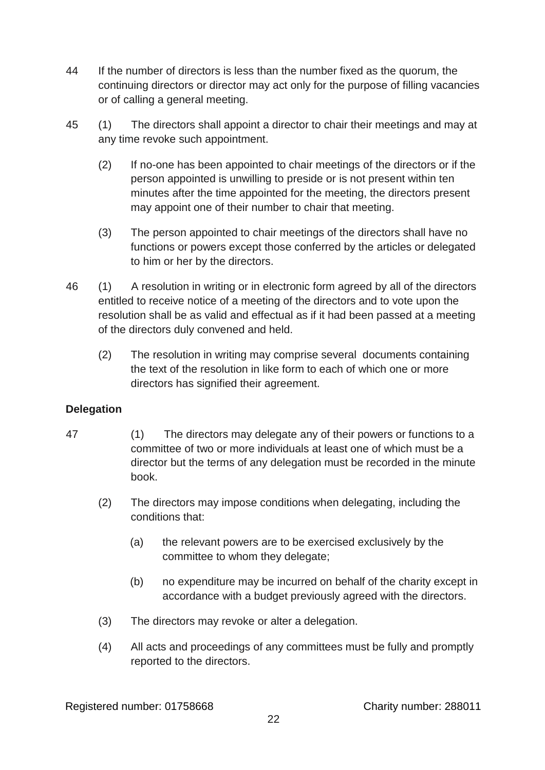- 44 If the number of directors is less than the number fixed as the quorum, the continuing directors or director may act only for the purpose of filling vacancies or of calling a general meeting.
- 45 (1) The directors shall appoint a director to chair their meetings and may at any time revoke such appointment.
	- (2) If no-one has been appointed to chair meetings of the directors or if the person appointed is unwilling to preside or is not present within ten minutes after the time appointed for the meeting, the directors present may appoint one of their number to chair that meeting.
	- (3) The person appointed to chair meetings of the directors shall have no functions or powers except those conferred by the articles or delegated to him or her by the directors.
- 46 (1) A resolution in writing or in electronic form agreed by all of the directors entitled to receive notice of a meeting of the directors and to vote upon the resolution shall be as valid and effectual as if it had been passed at a meeting of the directors duly convened and held.
	- (2) The resolution in writing may comprise several documents containing the text of the resolution in like form to each of which one or more directors has signified their agreement.

# **Delegation**

- 47 (1) The directors may delegate any of their powers or functions to a committee of two or more individuals at least one of which must be a director but the terms of any delegation must be recorded in the minute book.
	- (2) The directors may impose conditions when delegating, including the conditions that:
		- (a) the relevant powers are to be exercised exclusively by the committee to whom they delegate;
		- (b) no expenditure may be incurred on behalf of the charity except in accordance with a budget previously agreed with the directors.
	- (3) The directors may revoke or alter a delegation.
	- (4) All acts and proceedings of any committees must be fully and promptly reported to the directors.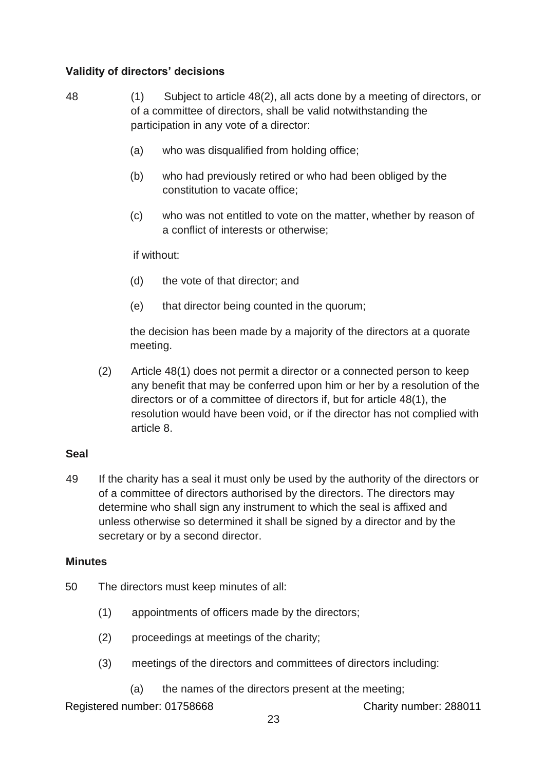# **Validity of directors' decisions**

- 48 (1) Subject to article 48(2), all acts done by a meeting of directors, or of a committee of directors, shall be valid notwithstanding the participation in any vote of a director:
	- (a) who was disqualified from holding office;
	- (b) who had previously retired or who had been obliged by the constitution to vacate office;
	- (c) who was not entitled to vote on the matter, whether by reason of a conflict of interests or otherwise;

if without:

- (d) the vote of that director; and
- (e) that director being counted in the quorum;

the decision has been made by a majority of the directors at a quorate meeting.

(2) Article 48(1) does not permit a director or a connected person to keep any benefit that may be conferred upon him or her by a resolution of the directors or of a committee of directors if, but for article 48(1), the resolution would have been void, or if the director has not complied with article 8.

#### **Seal**

49 If the charity has a seal it must only be used by the authority of the directors or of a committee of directors authorised by the directors. The directors may determine who shall sign any instrument to which the seal is affixed and unless otherwise so determined it shall be signed by a director and by the secretary or by a second director.

#### **Minutes**

- 50 The directors must keep minutes of all:
	- (1) appointments of officers made by the directors;
	- (2) proceedings at meetings of the charity;
	- (3) meetings of the directors and committees of directors including:
		- (a) the names of the directors present at the meeting;

Registered number: 01758668 Charity number: 288011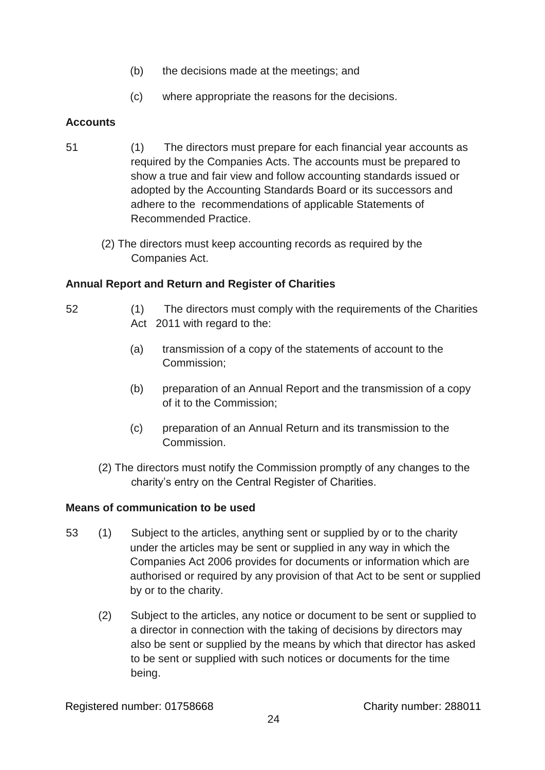- (b) the decisions made at the meetings; and
- (c) where appropriate the reasons for the decisions.

## **Accounts**

- 51 (1) The directors must prepare for each financial year accounts as required by the Companies Acts. The accounts must be prepared to show a true and fair view and follow accounting standards issued or adopted by the Accounting Standards Board or its successors and adhere to the recommendations of applicable Statements of Recommended Practice.
	- (2) The directors must keep accounting records as required by the Companies Act.

## **Annual Report and Return and Register of Charities**

- 52 (1) The directors must comply with the requirements of the Charities Act 2011 with regard to the:
	- (a) transmission of a copy of the statements of account to the Commission;
	- (b) preparation of an Annual Report and the transmission of a copy of it to the Commission;
	- (c) preparation of an Annual Return and its transmission to the Commission.
	- (2) The directors must notify the Commission promptly of any changes to the charity's entry on the Central Register of Charities.

## **Means of communication to be used**

- 53 (1) Subject to the articles, anything sent or supplied by or to the charity under the articles may be sent or supplied in any way in which the Companies Act 2006 provides for documents or information which are authorised or required by any provision of that Act to be sent or supplied by or to the charity.
	- (2) Subject to the articles, any notice or document to be sent or supplied to a director in connection with the taking of decisions by directors may also be sent or supplied by the means by which that director has asked to be sent or supplied with such notices or documents for the time being.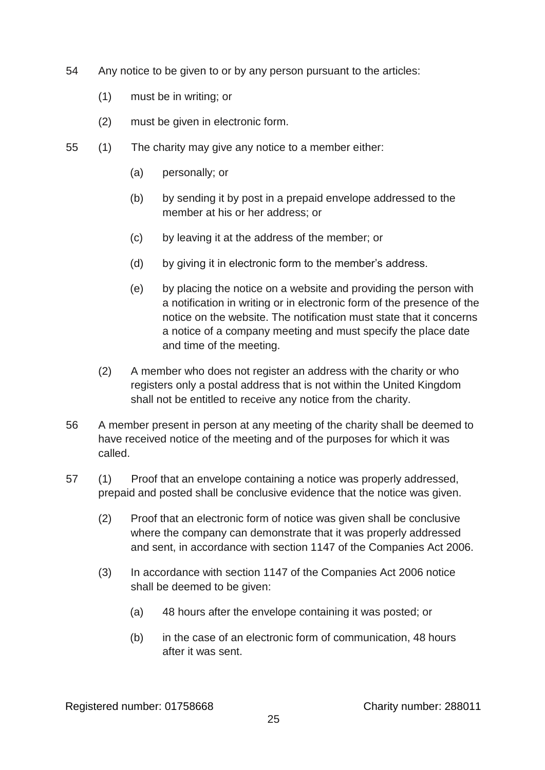- 54 Any notice to be given to or by any person pursuant to the articles:
	- (1) must be in writing; or
	- (2) must be given in electronic form.
- 55 (1) The charity may give any notice to a member either:
	- (a) personally; or
	- (b) by sending it by post in a prepaid envelope addressed to the member at his or her address; or
	- (c) by leaving it at the address of the member; or
	- (d) by giving it in electronic form to the member's address.
	- (e) by placing the notice on a website and providing the person with a notification in writing or in electronic form of the presence of the notice on the website. The notification must state that it concerns a notice of a company meeting and must specify the place date and time of the meeting.
	- (2) A member who does not register an address with the charity or who registers only a postal address that is not within the United Kingdom shall not be entitled to receive any notice from the charity.
- 56 A member present in person at any meeting of the charity shall be deemed to have received notice of the meeting and of the purposes for which it was called.
- 57 (1) Proof that an envelope containing a notice was properly addressed, prepaid and posted shall be conclusive evidence that the notice was given.
	- (2) Proof that an electronic form of notice was given shall be conclusive where the company can demonstrate that it was properly addressed and sent, in accordance with section 1147 of the Companies Act 2006.
	- (3) In accordance with section 1147 of the Companies Act 2006 notice shall be deemed to be given:
		- (a) 48 hours after the envelope containing it was posted; or
		- (b) in the case of an electronic form of communication, 48 hours after it was sent.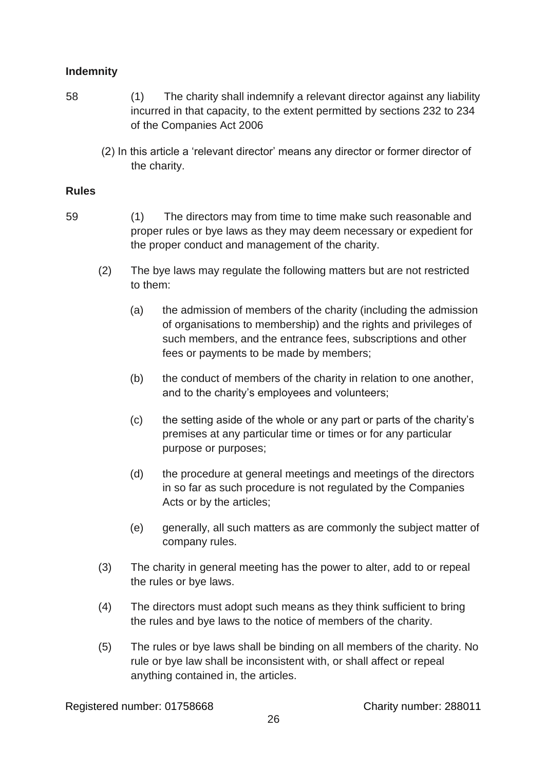# **Indemnity**

- 58 (1) The charity shall indemnify a relevant director against any liability incurred in that capacity, to the extent permitted by sections 232 to 234 of the Companies Act 2006
	- (2) In this article a 'relevant director' means any director or former director of the charity.

#### **Rules**

- 59 (1) The directors may from time to time make such reasonable and proper rules or bye laws as they may deem necessary or expedient for the proper conduct and management of the charity.
	- (2) The bye laws may regulate the following matters but are not restricted to them:
		- (a) the admission of members of the charity (including the admission of organisations to membership) and the rights and privileges of such members, and the entrance fees, subscriptions and other fees or payments to be made by members;
		- (b) the conduct of members of the charity in relation to one another, and to the charity's employees and volunteers;
		- (c) the setting aside of the whole or any part or parts of the charity's premises at any particular time or times or for any particular purpose or purposes;
		- (d) the procedure at general meetings and meetings of the directors in so far as such procedure is not regulated by the Companies Acts or by the articles;
		- (e) generally, all such matters as are commonly the subject matter of company rules.
	- (3) The charity in general meeting has the power to alter, add to or repeal the rules or bye laws.
	- (4) The directors must adopt such means as they think sufficient to bring the rules and bye laws to the notice of members of the charity.
	- (5) The rules or bye laws shall be binding on all members of the charity. No rule or bye law shall be inconsistent with, or shall affect or repeal anything contained in, the articles.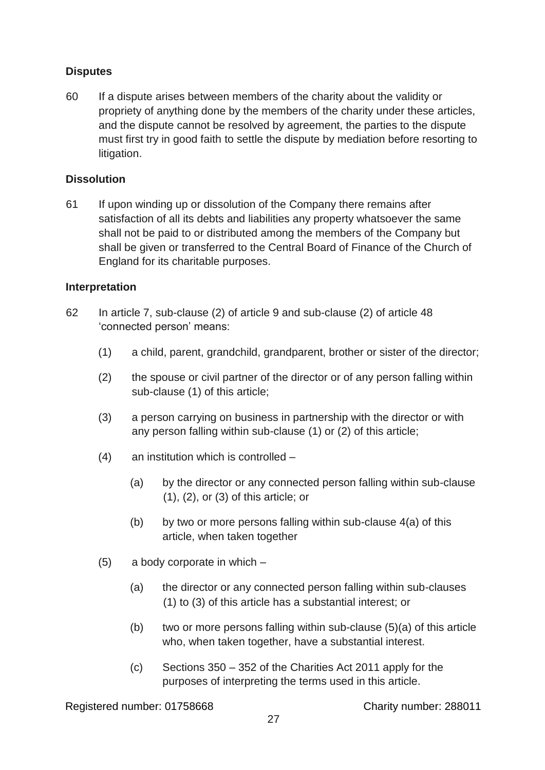# **Disputes**

60 If a dispute arises between members of the charity about the validity or propriety of anything done by the members of the charity under these articles, and the dispute cannot be resolved by agreement, the parties to the dispute must first try in good faith to settle the dispute by mediation before resorting to litigation.

## **Dissolution**

61 If upon winding up or dissolution of the Company there remains after satisfaction of all its debts and liabilities any property whatsoever the same shall not be paid to or distributed among the members of the Company but shall be given or transferred to the Central Board of Finance of the Church of England for its charitable purposes.

#### **Interpretation**

- 62 In article 7, sub-clause (2) of article 9 and sub-clause (2) of article 48 'connected person' means:
	- (1) a child, parent, grandchild, grandparent, brother or sister of the director;
	- (2) the spouse or civil partner of the director or of any person falling within sub-clause (1) of this article;
	- (3) a person carrying on business in partnership with the director or with any person falling within sub-clause (1) or (2) of this article;
	- (4) an institution which is controlled
		- (a) by the director or any connected person falling within sub-clause (1), (2), or (3) of this article; or
		- $(b)$  by two or more persons falling within sub-clause  $4(a)$  of this article, when taken together
	- (5) a body corporate in which
		- (a) the director or any connected person falling within sub-clauses (1) to (3) of this article has a substantial interest; or
		- (b) two or more persons falling within sub-clause  $(5)(a)$  of this article who, when taken together, have a substantial interest.
		- (c) Sections 350 352 of the Charities Act 2011 apply for the purposes of interpreting the terms used in this article.